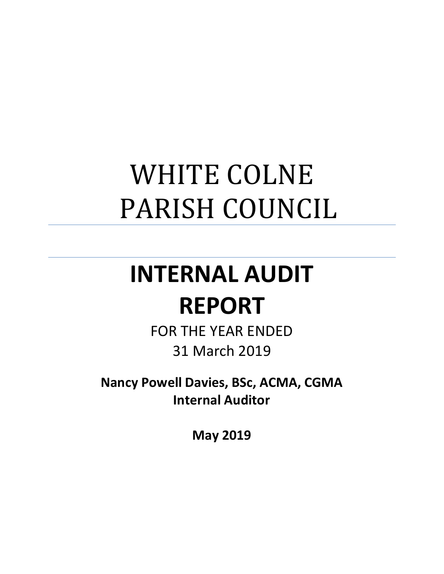## WHITE COLNE PARISH COUNCIL

# **INTERNAL AUDIT**

### **REPORT**

FOR THE YEAR ENDED 31 March 2019

**Nancy Powell Davies, BSc, ACMA, CGMA Internal Auditor**

**May 2019**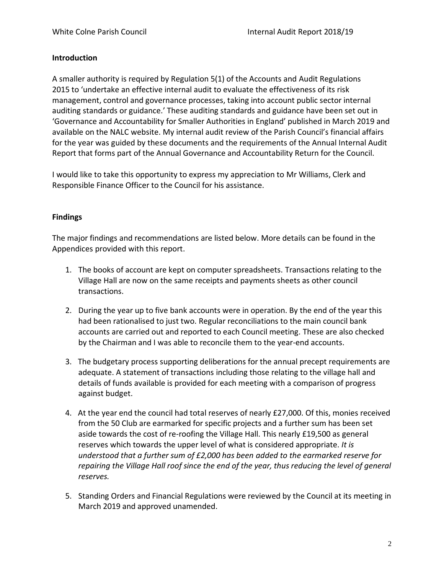#### **Introduction**

A smaller authority is required by Regulation 5(1) of the Accounts and Audit Regulations 2015 to 'undertake an effective internal audit to evaluate the effectiveness of its risk management, control and governance processes, taking into account public sector internal auditing standards or guidance.' These auditing standards and guidance have been set out in 'Governance and Accountability for Smaller Authorities in England' published in March 2019 and available on the NALC website. My internal audit review of the Parish Council's financial affairs for the year was guided by these documents and the requirements of the Annual Internal Audit Report that forms part of the Annual Governance and Accountability Return for the Council.

I would like to take this opportunity to express my appreciation to Mr Williams, Clerk and Responsible Finance Officer to the Council for his assistance.

#### **Findings**

The major findings and recommendations are listed below. More details can be found in the Appendices provided with this report.

- 1. The books of account are kept on computer spreadsheets. Transactions relating to the Village Hall are now on the same receipts and payments sheets as other council transactions.
- 2. During the year up to five bank accounts were in operation. By the end of the year this had been rationalised to just two. Regular reconciliations to the main council bank accounts are carried out and reported to each Council meeting. These are also checked by the Chairman and I was able to reconcile them to the year-end accounts.
- 3. The budgetary process supporting deliberations for the annual precept requirements are adequate. A statement of transactions including those relating to the village hall and details of funds available is provided for each meeting with a comparison of progress against budget.
- 4. At the year end the council had total reserves of nearly £27,000. Of this, monies received from the 50 Club are earmarked for specific projects and a further sum has been set aside towards the cost of re-roofing the Village Hall. This nearly £19,500 as general reserves which towards the upper level of what is considered appropriate. *It is understood that a further sum of £2,000 has been added to the earmarked reserve for repairing the Village Hall roof since the end of the year, thus reducing the level of general reserves.*
- 5. Standing Orders and Financial Regulations were reviewed by the Council at its meeting in March 2019 and approved unamended.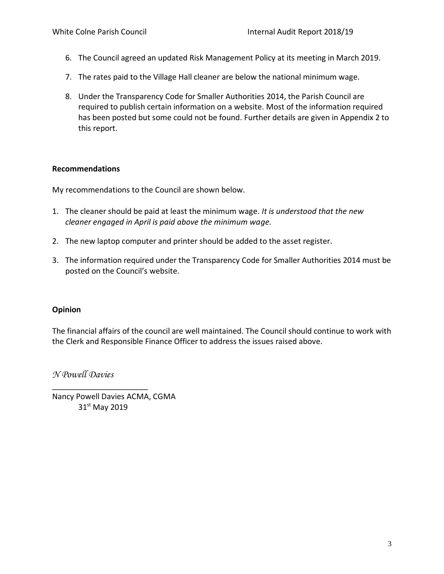- 6. The Council agreed an updated Risk Management Policy at its meeting in March 2019.
- 7. The rates paid to the Village Hall cleaner are below the national minimum wage.
- 8. Under the Transparency Code for Smaller Authorities 2014, the Parish Council are required to publish certain information on a website. Most of the information required has been posted but some could not be found. Further details are given in Appendix 2 to this report.

#### **Recommendations**

My recommendations to the Council are shown below.

- 1. The cleaner should be paid at least the minimum wage. *It is understood that the new cleaner engaged in April is paid above the minimum wage.*
- 2. The new laptop computer and printer should be added to the asset register.
- 3. The information required under the Transparency Code for Smaller Authorities 2014 must be posted on the Council's website.

#### **Opinion**

The financial affairs of the council are well maintained. The Council should continue to work with the Clerk and Responsible Finance Officer to address the issues raised above.

*N Powell Davies*

Nancy Powell Davies ACMA, CGMA 31<sup>st</sup> May 2019

\_\_\_\_\_\_\_\_\_\_\_\_\_\_\_\_\_\_\_\_\_\_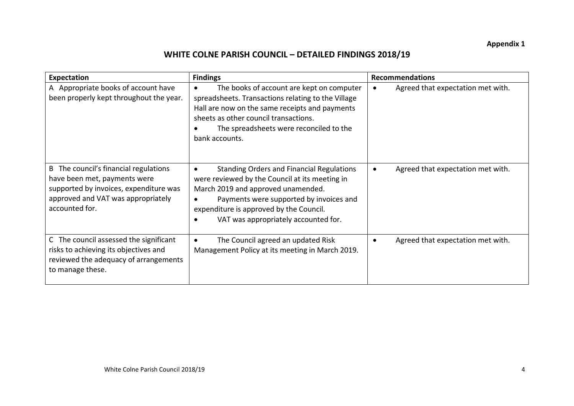#### **WHITE COLNE PARISH COUNCIL – DETAILED FINDINGS 2018/19**

| Expectation                                                                                                                                                             | <b>Findings</b>                                                                                                                                                                                                                                                                                  | <b>Recommendations</b>                         |
|-------------------------------------------------------------------------------------------------------------------------------------------------------------------------|--------------------------------------------------------------------------------------------------------------------------------------------------------------------------------------------------------------------------------------------------------------------------------------------------|------------------------------------------------|
| A Appropriate books of account have<br>been properly kept throughout the year.                                                                                          | The books of account are kept on computer<br>$\bullet$<br>spreadsheets. Transactions relating to the Village<br>Hall are now on the same receipts and payments<br>sheets as other council transactions.<br>The spreadsheets were reconciled to the<br>bank accounts.                             | Agreed that expectation met with.<br>$\bullet$ |
| B The council's financial regulations<br>have been met, payments were<br>supported by invoices, expenditure was<br>approved and VAT was appropriately<br>accounted for. | <b>Standing Orders and Financial Regulations</b><br>$\bullet$<br>were reviewed by the Council at its meeting in<br>March 2019 and approved unamended.<br>Payments were supported by invoices and<br>$\bullet$<br>expenditure is approved by the Council.<br>VAT was appropriately accounted for. | Agreed that expectation met with.<br>$\bullet$ |
| C The council assessed the significant<br>risks to achieving its objectives and<br>reviewed the adequacy of arrangements<br>to manage these.                            | The Council agreed an updated Risk<br>$\bullet$<br>Management Policy at its meeting in March 2019.                                                                                                                                                                                               | Agreed that expectation met with.<br>$\bullet$ |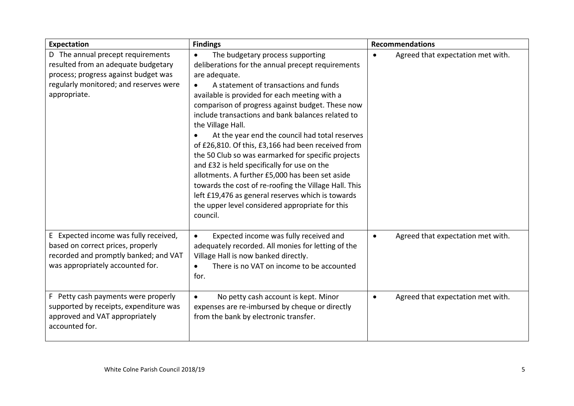| Expectation                                                                                                                                                                | <b>Findings</b>                                                                                                                                                                                                                                                                                                                                                                                                                                                                                                                                                                                                                                                                                                                                                                                       | <b>Recommendations</b>                         |
|----------------------------------------------------------------------------------------------------------------------------------------------------------------------------|-------------------------------------------------------------------------------------------------------------------------------------------------------------------------------------------------------------------------------------------------------------------------------------------------------------------------------------------------------------------------------------------------------------------------------------------------------------------------------------------------------------------------------------------------------------------------------------------------------------------------------------------------------------------------------------------------------------------------------------------------------------------------------------------------------|------------------------------------------------|
| D The annual precept requirements<br>resulted from an adequate budgetary<br>process; progress against budget was<br>regularly monitored; and reserves were<br>appropriate. | The budgetary process supporting<br>$\bullet$<br>deliberations for the annual precept requirements<br>are adequate.<br>A statement of transactions and funds<br>$\bullet$<br>available is provided for each meeting with a<br>comparison of progress against budget. These now<br>include transactions and bank balances related to<br>the Village Hall.<br>At the year end the council had total reserves<br>of £26,810. Of this, £3,166 had been received from<br>the 50 Club so was earmarked for specific projects<br>and £32 is held specifically for use on the<br>allotments. A further £5,000 has been set aside<br>towards the cost of re-roofing the Village Hall. This<br>left £19,476 as general reserves which is towards<br>the upper level considered appropriate for this<br>council. | Agreed that expectation met with.<br>$\bullet$ |
| E Expected income was fully received,<br>based on correct prices, properly<br>recorded and promptly banked; and VAT<br>was appropriately accounted for.                    | Expected income was fully received and<br>$\bullet$<br>adequately recorded. All monies for letting of the<br>Village Hall is now banked directly.<br>There is no VAT on income to be accounted<br>$\bullet$<br>for.                                                                                                                                                                                                                                                                                                                                                                                                                                                                                                                                                                                   | Agreed that expectation met with.<br>$\bullet$ |
| F Petty cash payments were properly<br>supported by receipts, expenditure was<br>approved and VAT appropriately<br>accounted for.                                          | No petty cash account is kept. Minor<br>$\bullet$<br>expenses are re-imbursed by cheque or directly<br>from the bank by electronic transfer.                                                                                                                                                                                                                                                                                                                                                                                                                                                                                                                                                                                                                                                          | Agreed that expectation met with.<br>$\bullet$ |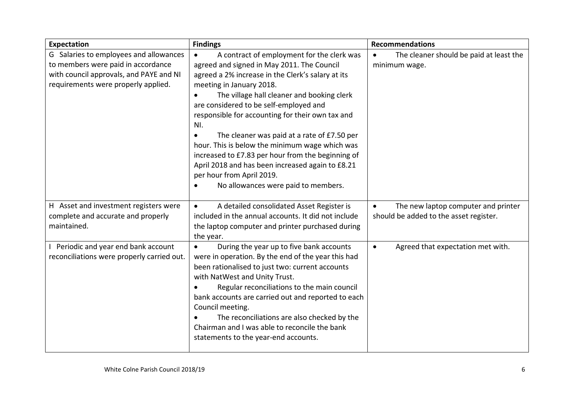| <b>Expectation</b>                                                                                                                                             | <b>Findings</b>                                                                                                                                                                                                                                                                                                                                                                                                                                                                                                                                                                                                                      | <b>Recommendations</b>                                                                     |
|----------------------------------------------------------------------------------------------------------------------------------------------------------------|--------------------------------------------------------------------------------------------------------------------------------------------------------------------------------------------------------------------------------------------------------------------------------------------------------------------------------------------------------------------------------------------------------------------------------------------------------------------------------------------------------------------------------------------------------------------------------------------------------------------------------------|--------------------------------------------------------------------------------------------|
| G Salaries to employees and allowances<br>to members were paid in accordance<br>with council approvals, and PAYE and NI<br>requirements were properly applied. | A contract of employment for the clerk was<br>$\bullet$<br>agreed and signed in May 2011. The Council<br>agreed a 2% increase in the Clerk's salary at its<br>meeting in January 2018.<br>The village hall cleaner and booking clerk<br>$\bullet$<br>are considered to be self-employed and<br>responsible for accounting for their own tax and<br>NI.<br>The cleaner was paid at a rate of £7.50 per<br>hour. This is below the minimum wage which was<br>increased to £7.83 per hour from the beginning of<br>April 2018 and has been increased again to £8.21<br>per hour from April 2019.<br>No allowances were paid to members. | The cleaner should be paid at least the<br>$\bullet$<br>minimum wage.                      |
| H Asset and investment registers were<br>complete and accurate and properly<br>maintained.                                                                     | A detailed consolidated Asset Register is<br>$\bullet$<br>included in the annual accounts. It did not include<br>the laptop computer and printer purchased during<br>the year.                                                                                                                                                                                                                                                                                                                                                                                                                                                       | The new laptop computer and printer<br>$\bullet$<br>should be added to the asset register. |
| Periodic and year end bank account<br>reconciliations were properly carried out.                                                                               | During the year up to five bank accounts<br>$\bullet$<br>were in operation. By the end of the year this had<br>been rationalised to just two: current accounts<br>with NatWest and Unity Trust.<br>Regular reconciliations to the main council<br>bank accounts are carried out and reported to each<br>Council meeting.<br>The reconciliations are also checked by the<br>Chairman and I was able to reconcile the bank<br>statements to the year-end accounts.                                                                                                                                                                     | Agreed that expectation met with.<br>$\bullet$                                             |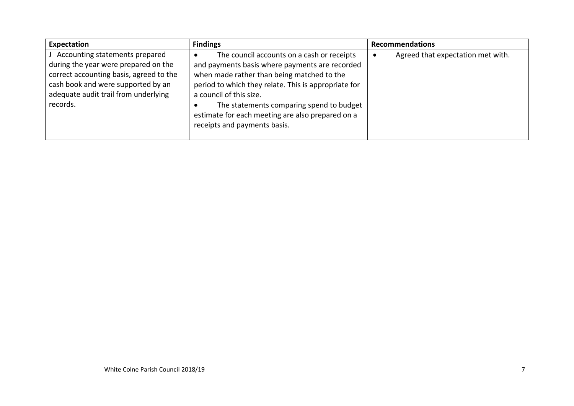| Expectation                                                                                                                                                                                                 | <b>Findings</b>                                                                                                                                                                                                                                                                                                                                               | <b>Recommendations</b>            |
|-------------------------------------------------------------------------------------------------------------------------------------------------------------------------------------------------------------|---------------------------------------------------------------------------------------------------------------------------------------------------------------------------------------------------------------------------------------------------------------------------------------------------------------------------------------------------------------|-----------------------------------|
| Accounting statements prepared<br>during the year were prepared on the<br>correct accounting basis, agreed to the<br>cash book and were supported by an<br>adequate audit trail from underlying<br>records. | The council accounts on a cash or receipts<br>and payments basis where payments are recorded<br>when made rather than being matched to the<br>period to which they relate. This is appropriate for<br>a council of this size.<br>The statements comparing spend to budget<br>estimate for each meeting are also prepared on a<br>receipts and payments basis. | Agreed that expectation met with. |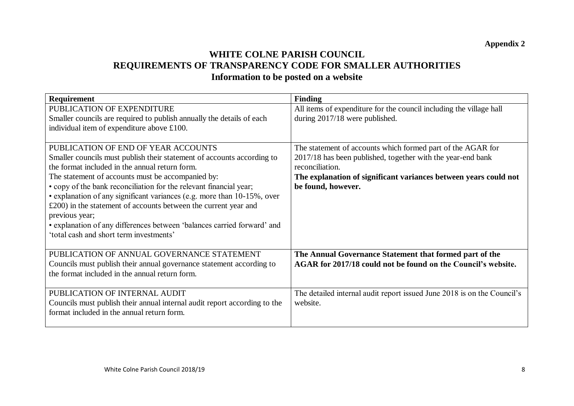#### **WHITE COLNE PARISH COUNCIL REQUIREMENTS OF TRANSPARENCY CODE FOR SMALLER AUTHORITIES Information to be posted on a website**

| <b>Requirement</b>                                                        | <b>Finding</b>                                                          |
|---------------------------------------------------------------------------|-------------------------------------------------------------------------|
| PUBLICATION OF EXPENDITURE                                                | All items of expenditure for the council including the village hall     |
| Smaller councils are required to publish annually the details of each     | during 2017/18 were published.                                          |
| individual item of expenditure above £100.                                |                                                                         |
|                                                                           |                                                                         |
| PUBLICATION OF END OF YEAR ACCOUNTS                                       | The statement of accounts which formed part of the AGAR for             |
| Smaller councils must publish their statement of accounts according to    | 2017/18 has been published, together with the year-end bank             |
| the format included in the annual return form.                            | reconciliation.                                                         |
| The statement of accounts must be accompanied by:                         | The explanation of significant variances between years could not        |
| • copy of the bank reconciliation for the relevant financial year;        | be found, however.                                                      |
| · explanation of any significant variances (e.g. more than 10-15%, over   |                                                                         |
| $£200$ ) in the statement of accounts between the current year and        |                                                                         |
| previous year;                                                            |                                                                         |
| • explanation of any differences between 'balances carried forward' and   |                                                                         |
| 'total cash and short term investments'                                   |                                                                         |
|                                                                           |                                                                         |
| PUBLICATION OF ANNUAL GOVERNANCE STATEMENT                                | The Annual Governance Statement that formed part of the                 |
| Councils must publish their annual governance statement according to      | AGAR for 2017/18 could not be found on the Council's website.           |
| the format included in the annual return form.                            |                                                                         |
|                                                                           |                                                                         |
| PUBLICATION OF INTERNAL AUDIT                                             | The detailed internal audit report issued June 2018 is on the Council's |
| Councils must publish their annual internal audit report according to the | website.                                                                |
| format included in the annual return form.                                |                                                                         |
|                                                                           |                                                                         |